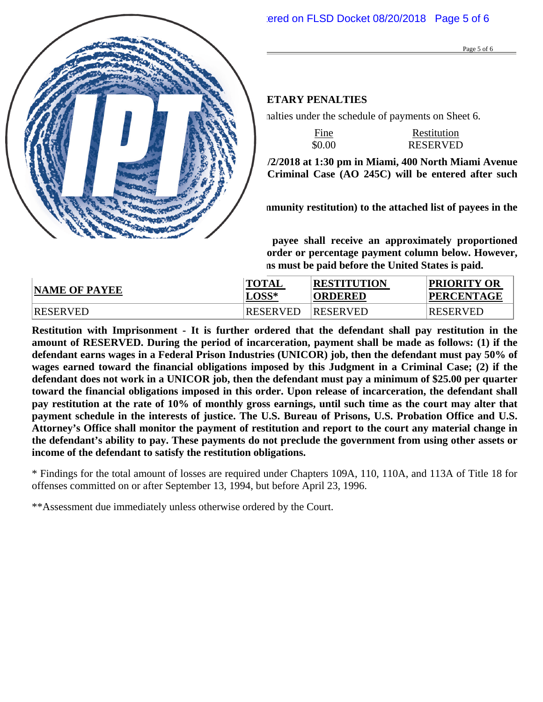#### DEFENDANT: **ESTEBAN SANTIAGO-RUIZ**  CASE NUMBER: **17-60022-CR-BLOOM CRIMINAL MONETARY PENALTIES**

The defendant must pay the total criminal monetary penalties under the schedule of payments on Sheet 6.

|               | Assessment | ÷<br>Fine<br>_______ | Restitution     |
|---------------|------------|----------------------|-----------------|
| <b>TOTALS</b> | \$1,100.00 | \$0.00               | <b>RESERVED</b> |

**The determination of restitution is deferred until 11/2/2018 at 1:30 pm in Miami, 400 North Miami Avenue in Courtroom 10-2. An Amended Judgment in a Criminal Case (AO 245C) will be entered after such determination.** 

**The defendant must make restitution (including community restitution) to the attached list of payees in the amount listed below.** 

**If the defendant makes a partial payment, each payee shall receive an approximately proportioned payment, unless specified otherwise in the priority order or percentage payment column below. However, pursuant to 18 U.S.C. § 3664(i), all nonfederal victims must be paid before the United States is paid.**

| <b>NAME OF PAYEE</b> | <b>TOTAL</b>    | <b>RESTITUTION</b> | <b>PRIORITY OR</b> |
|----------------------|-----------------|--------------------|--------------------|
|                      | $L$ OSS*        | <b>ORDERED</b>     | <b>PERCENTAGE</b>  |
| RESERVED             | <b>RESERVED</b> | <b>RESERVED</b>    | <b>RESERVED</b>    |

**Restitution with Imprisonment - It is further ordered that the defendant shall pay restitution in the amount of RESERVED. During the period of incarceration, payment shall be made as follows: (1) if the defendant earns wages in a Federal Prison Industries (UNICOR) job, then the defendant must pay 50% of wages earned toward the financial obligations imposed by this Judgment in a Criminal Case; (2) if the defendant does not work in a UNICOR job, then the defendant must pay a minimum of \$25.00 per quarter toward the financial obligations imposed in this order. Upon release of incarceration, the defendant shall pay restitution at the rate of 10% of monthly gross earnings, until such time as the court may alter that payment schedule in the interests of justice. The U.S. Bureau of Prisons, U.S. Probation Office and U.S. Attorney's Office shall monitor the payment of restitution and report to the court any material change in the defendant's ability to pay. These payments do not preclude the government from using other assets or income of the defendant to satisfy the restitution obligations.** 

\* Findings for the total amount of losses are required under Chapters 109A, 110, 110A, and 113A of Title 18 for offenses committed on or after September 13, 1994, but before April 23, 1996.

\*\*Assessment due immediately unless otherwise ordered by the Court.